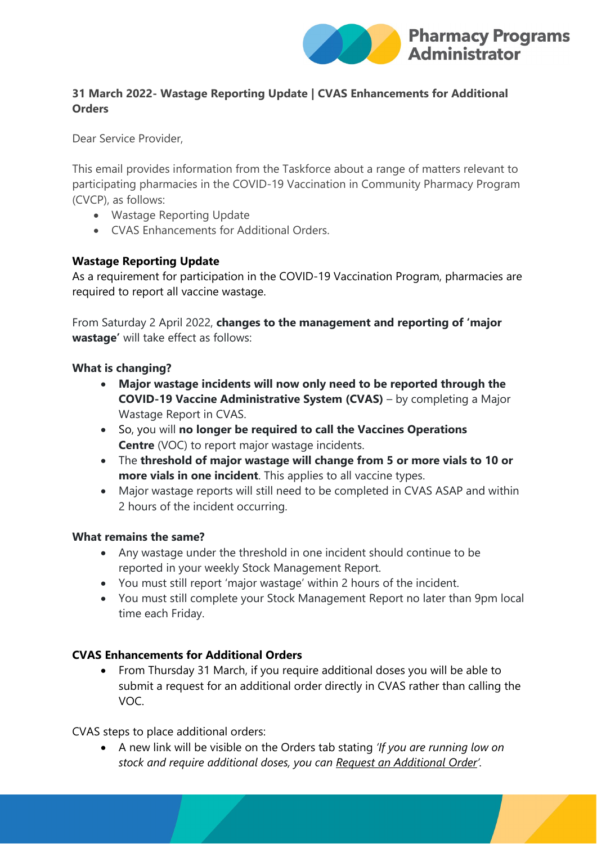

# **31 March 2022- Wastage Reporting Update | CVAS Enhancements for Additional Orders**

Dear Service Provider,

This email provides information from the Taskforce about a range of matters relevant to participating pharmacies in the COVID-19 Vaccination in Community Pharmacy Program (CVCP), as follows:

- Wastage Reporting Update
- CVAS Enhancements for Additional Orders.

## **Wastage Reporting Update**

As a requirement for participation in the COVID-19 Vaccination Program, pharmacies are required to report all vaccine wastage.

From Saturday 2 April 2022, **changes to the management and reporting of 'major wastage'** will take effect as follows:

### **What is changing?**

- **Major wastage incidents will now only need to be reported through the COVID-19 Vaccine Administrative System (CVAS)** – by completing a Major Wastage Report in CVAS.
- So, you will **no longer be required to call the Vaccines Operations Centre** (VOC) to report major wastage incidents.
- The **threshold of major wastage will change from 5 or more vials to 10 or more vials in one incident**. This applies to all vaccine types.
- Major wastage reports will still need to be completed in CVAS ASAP and within 2 hours of the incident occurring.

#### **What remains the same?**

- Any wastage under the threshold in one incident should continue to be reported in your weekly Stock Management Report.
- You must still report 'major wastage' within 2 hours of the incident.
- You must still complete your Stock Management Report no later than 9pm local time each Friday.

## **CVAS Enhancements for Additional Orders**

• From Thursday 31 March, if you require additional doses you will be able to submit a request for an additional order directly in CVAS rather than calling the VOC.

CVAS steps to place additional orders:

• A new link will be visible on the Orders tab stating *'If you are running low on stock and require additional doses, you can Request an Additional Order'.*